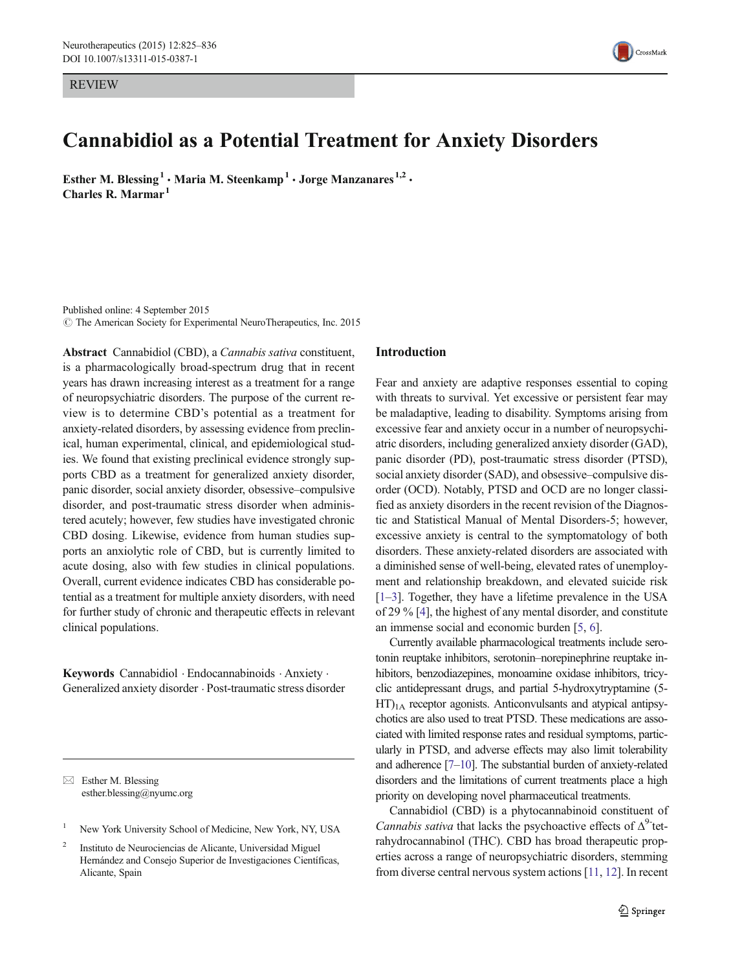REVIEW



# Cannabidiol as a Potential Treatment for Anxiety Disorders

Esther M. Blessing<sup>1</sup> • Maria M. Steenkamp<sup>1</sup> • Jorge Manzanares<sup>1,2</sup> • Charles R. Marmar $<sup>1</sup>$ </sup>

Published online: 4 September 2015 © The American Society for Experimental NeuroTherapeutics, Inc. 2015

Abstract Cannabidiol (CBD), a Cannabis sativa constituent, is a pharmacologically broad-spectrum drug that in recent years has drawn increasing interest as a treatment for a range of neuropsychiatric disorders. The purpose of the current review is to determine CBD's potential as a treatment for anxiety-related disorders, by assessing evidence from preclinical, human experimental, clinical, and epidemiological studies. We found that existing preclinical evidence strongly supports CBD as a treatment for generalized anxiety disorder, panic disorder, social anxiety disorder, obsessive–compulsive disorder, and post-traumatic stress disorder when administered acutely; however, few studies have investigated chronic CBD dosing. Likewise, evidence from human studies supports an anxiolytic role of CBD, but is currently limited to acute dosing, also with few studies in clinical populations. Overall, current evidence indicates CBD has considerable potential as a treatment for multiple anxiety disorders, with need for further study of chronic and therapeutic effects in relevant clinical populations.

Keywords Cannabidiol . Endocannabinoids . Anxiety . Generalized anxiety disorder . Post-traumatic stress disorder

 $\boxtimes$  Esther M. Blessing esther.blessing@nyumc.org

# Introduction

Fear and anxiety are adaptive responses essential to coping with threats to survival. Yet excessive or persistent fear may be maladaptive, leading to disability. Symptoms arising from excessive fear and anxiety occur in a number of neuropsychiatric disorders, including generalized anxiety disorder (GAD), panic disorder (PD), post-traumatic stress disorder (PTSD), social anxiety disorder (SAD), and obsessive–compulsive disorder (OCD). Notably, PTSD and OCD are no longer classified as anxiety disorders in the recent revision of the Diagnostic and Statistical Manual of Mental Disorders-5; however, excessive anxiety is central to the symptomatology of both disorders. These anxiety-related disorders are associated with a diminished sense of well-being, elevated rates of unemployment and relationship breakdown, and elevated suicide risk [\[1](#page-8-0)–[3\]](#page-8-0). Together, they have a lifetime prevalence in the USA of 29 % [\[4](#page-8-0)], the highest of any mental disorder, and constitute an immense social and economic burden [[5](#page-8-0), [6](#page-8-0)].

Currently available pharmacological treatments include serotonin reuptake inhibitors, serotonin–norepinephrine reuptake inhibitors, benzodiazepines, monoamine oxidase inhibitors, tricyclic antidepressant drugs, and partial 5-hydroxytryptamine (5-  $HT)_{1A}$  receptor agonists. Anticonvulsants and atypical antipsychotics are also used to treat PTSD. These medications are associated with limited response rates and residual symptoms, particularly in PTSD, and adverse effects may also limit tolerability and adherence [\[7](#page-8-0)–[10\]](#page-8-0). The substantial burden of anxiety-related disorders and the limitations of current treatments place a high priority on developing novel pharmaceutical treatments.

Cannabidiol (CBD) is a phytocannabinoid constituent of *Cannabis sativa* that lacks the psychoactive effects of  $\Delta^{9}$ -tetrahydrocannabinol (THC). CBD has broad therapeutic properties across a range of neuropsychiatric disorders, stemming from diverse central nervous system actions [\[11,](#page-8-0) [12\]](#page-9-0). In recent

<sup>&</sup>lt;sup>1</sup> New York University School of Medicine, New York, NY, USA

<sup>2</sup> Instituto de Neurociencias de Alicante, Universidad Miguel Hernández and Consejo Superior de Investigaciones Científicas, Alicante, Spain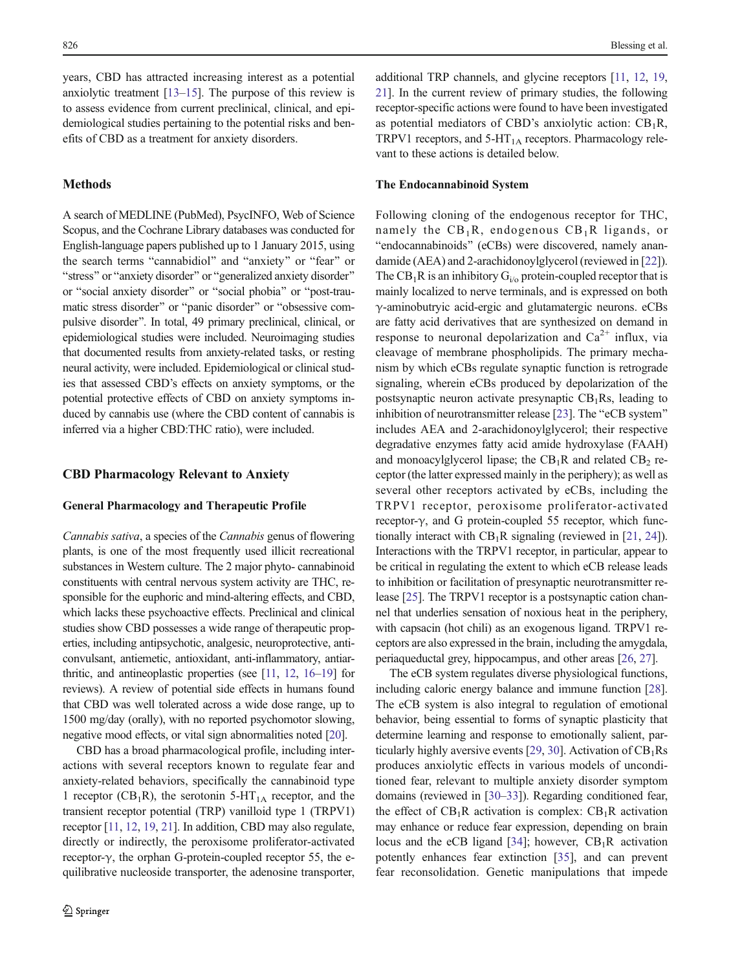years, CBD has attracted increasing interest as a potential anxiolytic treatment [\[13](#page-9-0)–[15\]](#page-9-0). The purpose of this review is to assess evidence from current preclinical, clinical, and epidemiological studies pertaining to the potential risks and benefits of CBD as a treatment for anxiety disorders.

# Methods

A search of MEDLINE (PubMed), PsycINFO, Web of Science Scopus, and the Cochrane Library databases was conducted for English-language papers published up to 1 January 2015, using the search terms "cannabidiol" and "anxiety" or "fear" or "stress" or "anxiety disorder" or "generalized anxiety disorder" or "social anxiety disorder" or "social phobia" or "post-traumatic stress disorder" or "panic disorder" or "obsessive compulsive disorder^. In total, 49 primary preclinical, clinical, or epidemiological studies were included. Neuroimaging studies that documented results from anxiety-related tasks, or resting neural activity, were included. Epidemiological or clinical studies that assessed CBD's effects on anxiety symptoms, or the potential protective effects of CBD on anxiety symptoms induced by cannabis use (where the CBD content of cannabis is inferred via a higher CBD:THC ratio), were included.

# CBD Pharmacology Relevant to Anxiety

### General Pharmacology and Therapeutic Profile

Cannabis sativa, a species of the Cannabis genus of flowering plants, is one of the most frequently used illicit recreational substances in Western culture. The 2 major phyto- cannabinoid constituents with central nervous system activity are THC, responsible for the euphoric and mind-altering effects, and CBD, which lacks these psychoactive effects. Preclinical and clinical studies show CBD possesses a wide range of therapeutic properties, including antipsychotic, analgesic, neuroprotective, anticonvulsant, antiemetic, antioxidant, anti-inflammatory, antiarthritic, and antineoplastic properties (see [\[11](#page-8-0), [12](#page-9-0), [16](#page-9-0)–[19](#page-9-0)] for reviews). A review of potential side effects in humans found that CBD was well tolerated across a wide dose range, up to 1500 mg/day (orally), with no reported psychomotor slowing, negative mood effects, or vital sign abnormalities noted [\[20\]](#page-9-0).

CBD has a broad pharmacological profile, including interactions with several receptors known to regulate fear and anxiety-related behaviors, specifically the cannabinoid type 1 receptor ( $CB_1R$ ), the serotonin 5-HT<sub>1A</sub> receptor, and the transient receptor potential (TRP) vanilloid type 1 (TRPV1) receptor [\[11](#page-8-0), [12](#page-9-0), [19,](#page-9-0) [21](#page-9-0)]. In addition, CBD may also regulate, directly or indirectly, the peroxisome proliferator-activated receptor-γ, the orphan G-protein-coupled receptor 55, the equilibrative nucleoside transporter, the adenosine transporter,

additional TRP channels, and glycine receptors [[11](#page-8-0), [12](#page-9-0), [19,](#page-9-0) [21\]](#page-9-0). In the current review of primary studies, the following receptor-specific actions were found to have been investigated as potential mediators of CBD's anxiolytic action:  $CB_1R$ , TRPV1 receptors, and  $5-HT<sub>1A</sub>$  receptors. Pharmacology relevant to these actions is detailed below.

### The Endocannabinoid System

Following cloning of the endogenous receptor for THC, namely the  $CB_1R$ , endogenous  $CB_1R$  ligands, or "endocannabinoids" (eCBs) were discovered, namely anandamide (AEA) and 2-arachidonoylglycerol (reviewed in [[22\]](#page-9-0)). The  $CB_1R$  is an inhibitory  $G_{i/0}$  protein-coupled receptor that is mainly localized to nerve terminals, and is expressed on both γ-aminobutryic acid-ergic and glutamatergic neurons. eCBs are fatty acid derivatives that are synthesized on demand in response to neuronal depolarization and  $Ca^{2+}$  influx, via cleavage of membrane phospholipids. The primary mechanism by which eCBs regulate synaptic function is retrograde signaling, wherein eCBs produced by depolarization of the postsynaptic neuron activate presynaptic  $CB_1Rs$ , leading to inhibition of neurotransmitter release [[23](#page-9-0)]. The "eCB system" includes AEA and 2-arachidonoylglycerol; their respective degradative enzymes fatty acid amide hydroxylase (FAAH) and monoacylglycerol lipase; the  $CB_1R$  and related  $CB_2$  receptor (the latter expressed mainly in the periphery); as well as several other receptors activated by eCBs, including the TRPV1 receptor, peroxisome proliferator-activated receptor-γ, and G protein-coupled 55 receptor, which functionally interact with  $CB_1R$  signaling (reviewed in [[21](#page-9-0), [24\]](#page-9-0)). Interactions with the TRPV1 receptor, in particular, appear to be critical in regulating the extent to which eCB release leads to inhibition or facilitation of presynaptic neurotransmitter release [[25\]](#page-9-0). The TRPV1 receptor is a postsynaptic cation channel that underlies sensation of noxious heat in the periphery, with capsacin (hot chili) as an exogenous ligand. TRPV1 receptors are also expressed in the brain, including the amygdala, periaqueductal grey, hippocampus, and other areas [[26](#page-9-0), [27\]](#page-9-0).

The eCB system regulates diverse physiological functions, including caloric energy balance and immune function [[28\]](#page-9-0). The eCB system is also integral to regulation of emotional behavior, being essential to forms of synaptic plasticity that determine learning and response to emotionally salient, par-ticularly highly aversive events [[29,](#page-9-0) [30\]](#page-9-0). Activation of  $CB_1Rs$ produces anxiolytic effects in various models of unconditioned fear, relevant to multiple anxiety disorder symptom domains (reviewed in [\[30](#page-9-0)–[33\]](#page-9-0)). Regarding conditioned fear, the effect of  $CB_1R$  activation is complex:  $CB_1R$  activation may enhance or reduce fear expression, depending on brain locus and the eCB ligand [\[34](#page-9-0)]; however,  $CB_1R$  activation potently enhances fear extinction [\[35](#page-9-0)], and can prevent fear reconsolidation. Genetic manipulations that impede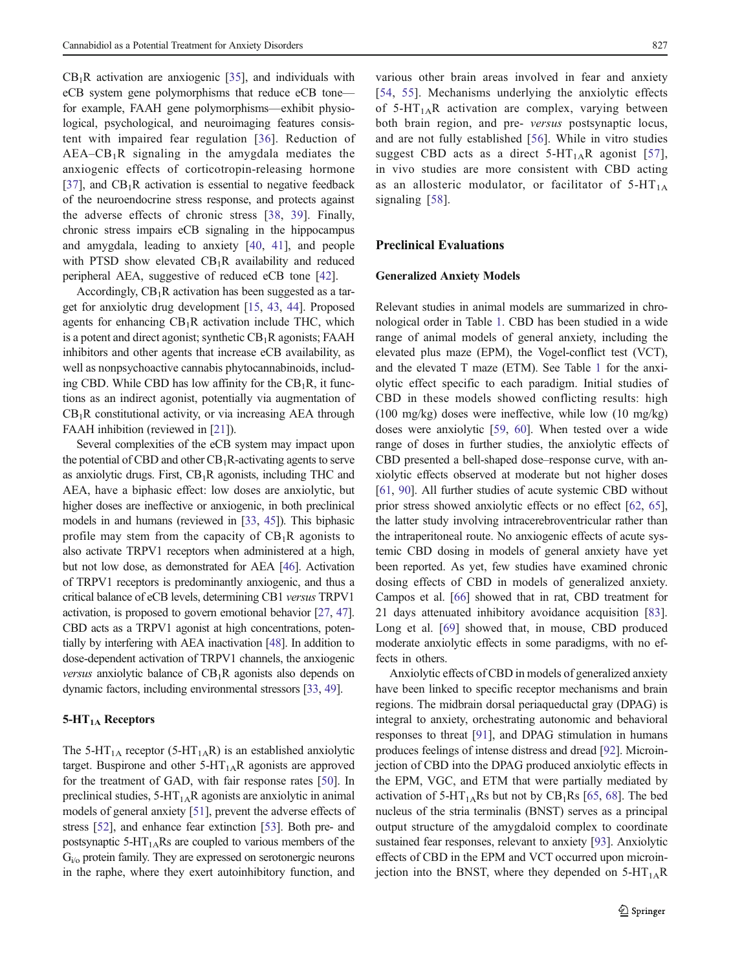CB1R activation are anxiogenic [[35](#page-9-0)], and individuals with eCB system gene polymorphisms that reduce eCB tone for example, FAAH gene polymorphisms—exhibit physiological, psychological, and neuroimaging features consistent with impaired fear regulation [[36\]](#page-9-0). Reduction of  $AEA-CB<sub>1</sub>R$  signaling in the amygdala mediates the anxiogenic effects of corticotropin-releasing hormone [\[37\]](#page-9-0), and  $CB_1R$  activation is essential to negative feedback of the neuroendocrine stress response, and protects against the adverse effects of chronic stress [[38,](#page-9-0) [39](#page-9-0)]. Finally, chronic stress impairs eCB signaling in the hippocampus and amygdala, leading to anxiety [\[40](#page-9-0), [41](#page-9-0)], and people with PTSD show elevated  $CB_1R$  availability and reduced peripheral AEA, suggestive of reduced eCB tone [\[42](#page-9-0)].

Accordingly,  $CB_1R$  activation has been suggested as a target for anxiolytic drug development [\[15,](#page-9-0) [43,](#page-9-0) [44\]](#page-9-0). Proposed agents for enhancing  $CB_1R$  activation include THC, which is a potent and direct agonist; synthetic  $CB_1R$  agonists; FAAH inhibitors and other agents that increase eCB availability, as well as nonpsychoactive cannabis phytocannabinoids, including CBD. While CBD has low affinity for the  $CB_1R$ , it functions as an indirect agonist, potentially via augmentation of  $CB_1R$  constitutional activity, or via increasing AEA through FAAH inhibition (reviewed in [\[21](#page-9-0)]).

Several complexities of the eCB system may impact upon the potential of CBD and other  $CB_1R$ -activating agents to serve as anxiolytic drugs. First,  $CB_1R$  agonists, including THC and AEA, have a biphasic effect: low doses are anxiolytic, but higher doses are ineffective or anxiogenic, in both preclinical models in and humans (reviewed in [[33](#page-9-0), [45\]](#page-9-0)). This biphasic profile may stem from the capacity of  $CB_1R$  agonists to also activate TRPV1 receptors when administered at a high, but not low dose, as demonstrated for AEA [[46](#page-9-0)]. Activation of TRPV1 receptors is predominantly anxiogenic, and thus a critical balance of eCB levels, determining CB1 versus TRPV1 activation, is proposed to govern emotional behavior [\[27,](#page-9-0) [47\]](#page-9-0). CBD acts as a TRPV1 agonist at high concentrations, potentially by interfering with AEA inactivation [[48](#page-9-0)]. In addition to dose-dependent activation of TRPV1 channels, the anxiogenic *versus* anxiolytic balance of  $CB_1R$  agonists also depends on dynamic factors, including environmental stressors [\[33,](#page-9-0) [49](#page-9-0)].

### $5-HT<sub>1A</sub>$  Receptors

The 5-HT<sub>1A</sub> receptor (5-HT<sub>1A</sub>R) is an established anxiolytic target. Buspirone and other  $5-HT<sub>1A</sub>R$  agonists are approved for the treatment of GAD, with fair response rates [[50\]](#page-9-0). In preclinical studies,  $5-HT<sub>1A</sub>R$  agonists are anxiolytic in animal models of general anxiety [\[51](#page-9-0)], prevent the adverse effects of stress [\[52\]](#page-9-0), and enhance fear extinction [[53](#page-9-0)]. Both pre- and postsynaptic  $5-HT<sub>1A</sub>Rs$  are coupled to various members of the  $G<sub>i/o</sub>$  protein family. They are expressed on serotonergic neurons in the raphe, where they exert autoinhibitory function, and

various other brain areas involved in fear and anxiety [\[54,](#page-10-0) [55\]](#page-10-0). Mechanisms underlying the anxiolytic effects of  $5-HT<sub>1A</sub>R$  activation are complex, varying between both brain region, and pre- versus postsynaptic locus, and are not fully established [[56](#page-10-0)]. While in vitro studies suggest CBD acts as a direct  $5-HT_{1A}R$  agonist [[57](#page-10-0)], in vivo studies are more consistent with CBD acting as an allosteric modulator, or facilitator of  $5-HT<sub>1A</sub>$ signaling [\[58](#page-10-0)].

## Preclinical Evaluations

### Generalized Anxiety Models

Relevant studies in animal models are summarized in chronological order in Table [1](#page-3-0). CBD has been studied in a wide range of animal models of general anxiety, including the elevated plus maze (EPM), the Vogel-conflict test (VCT), and the elevated T maze (ETM). See Table [1](#page-3-0) for the anxiolytic effect specific to each paradigm. Initial studies of CBD in these models showed conflicting results: high (100 mg/kg) doses were ineffective, while low (10 mg/kg) doses were anxiolytic [\[59](#page-10-0), [60](#page-10-0)]. When tested over a wide range of doses in further studies, the anxiolytic effects of CBD presented a bell-shaped dose–response curve, with anxiolytic effects observed at moderate but not higher doses [\[61](#page-10-0), [90\]](#page-11-0). All further studies of acute systemic CBD without prior stress showed anxiolytic effects or no effect [[62,](#page-10-0) [65\]](#page-10-0), the latter study involving intracerebroventricular rather than the intraperitoneal route. No anxiogenic effects of acute systemic CBD dosing in models of general anxiety have yet been reported. As yet, few studies have examined chronic dosing effects of CBD in models of generalized anxiety. Campos et al. [\[66\]](#page-10-0) showed that in rat, CBD treatment for 21 days attenuated inhibitory avoidance acquisition [[83\]](#page-10-0). Long et al. [\[69](#page-10-0)] showed that, in mouse, CBD produced moderate anxiolytic effects in some paradigms, with no effects in others.

Anxiolytic effects of CBD in models of generalized anxiety have been linked to specific receptor mechanisms and brain regions. The midbrain dorsal periaqueductal gray (DPAG) is integral to anxiety, orchestrating autonomic and behavioral responses to threat [\[91\]](#page-11-0), and DPAG stimulation in humans produces feelings of intense distress and dread [\[92\]](#page-11-0). Microinjection of CBD into the DPAG produced anxiolytic effects in the EPM, VGC, and ETM that were partially mediated by activation of 5-HT<sub>1A</sub>Rs but not by  $CB_1Rs$  [\[65](#page-10-0), [68](#page-10-0)]. The bed nucleus of the stria terminalis (BNST) serves as a principal output structure of the amygdaloid complex to coordinate sustained fear responses, relevant to anxiety [[93](#page-11-0)]. Anxiolytic effects of CBD in the EPM and VCT occurred upon microinjection into the BNST, where they depended on  $5-HT_{1A}R$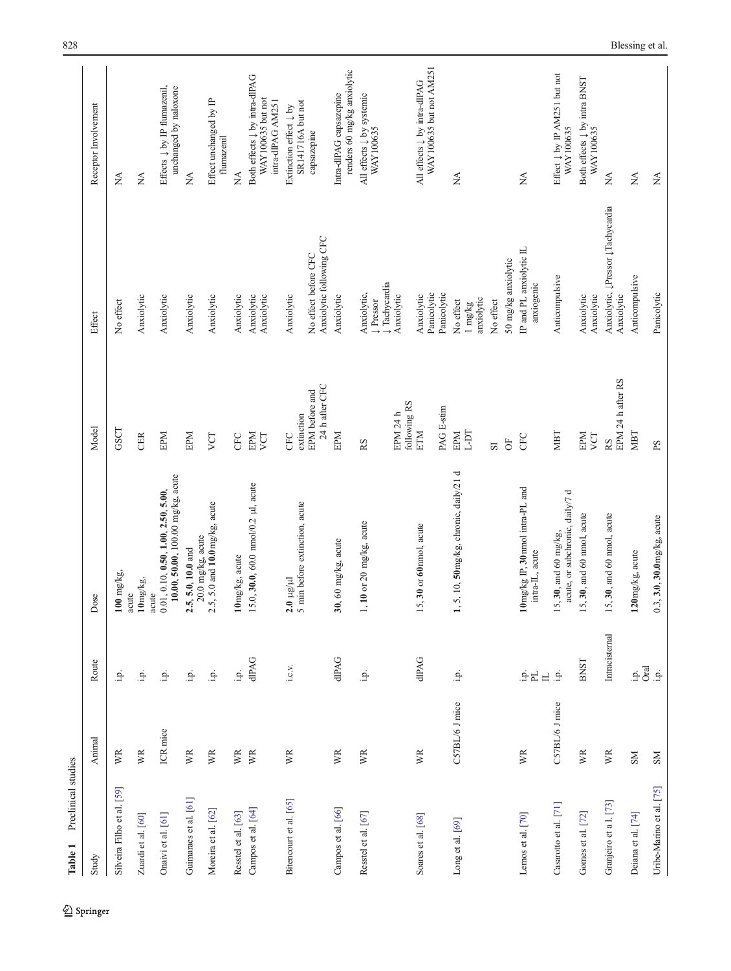<span id="page-3-0"></span>

| Preclinical studies<br>Table 1 |                |                                       |                                                                                |                                  |                                                  |                                                                                    |
|--------------------------------|----------------|---------------------------------------|--------------------------------------------------------------------------------|----------------------------------|--------------------------------------------------|------------------------------------------------------------------------------------|
| Study                          | Animal         | Route                                 | Dose                                                                           | Model                            | Effect                                           | Receptor Involvement                                                               |
| Silveira Filho et al. [59]     | WR             | i.p.                                  | $100$ mg/kg,<br>acute                                                          | GSCT                             | No effect                                        | ÁN                                                                                 |
| Zuardi et al. [60]             | WR             | i.p.                                  | $10\,\mathrm{mg/kg}$<br>acute                                                  | CER                              | Anxiolytic                                       | ΧÁ                                                                                 |
| Onaivi et al. [61]             | ICR mice       | $\dot{\mathbb{P}}$                    | 10.00, 50.00, 100.00 mg/kg, acute<br>0.01, 0.10, 0.50, 1.00, 2.50, 5.00,       | EPM                              | Anxiolytic                                       | Effects $\downarrow$ by IP flumazenil,<br>unchanged by naloxone                    |
| Guimaraes et al. [61]          | WR             | نم:                                   | $20.0$ mg/kg, acute<br>2.5, 5.0, 10.0 and                                      | EPM                              | Anxiolytic                                       | Ź                                                                                  |
| Moreira et al. [62]            | WR             | i.p.                                  | $2.5$ , 5.0 and $10.0$ mg/kg, acute                                            | VCT                              | Anxiolytic                                       | Effect unchanged by IP<br>flumazenil                                               |
| Resstel et al. [63]            | WR             | iņ.                                   | 10mg/kg, acute                                                                 | CFC                              | Anxiolytic                                       | Ź                                                                                  |
| Campos et al. [64]             | WR             | dIPAG                                 | 5.0, 30.0, 60.0 $\text{mmol}/0.2$ µl, acute                                    | EPM<br>VCT                       | Anxiolytic<br>Anxiolytic                         | Both effects $\downarrow$ by intra-dlPAG<br>WAY100635 but not<br>intra-dlPAG AM251 |
| Bitencourt et al. [65]         | WR             | i.c.v.                                | 5 min before extinction, acute<br>$2.0 \ \mu$ g/ $\mu$ l                       | extinction<br><b>CFC</b>         | Anxiolytic                                       | SR141716A but not<br>Extinction effect $\downarrow$ by                             |
|                                |                |                                       |                                                                                | 24 h after CFC<br>EPM before and | Anxiolytic following CFC<br>No effect before CFC | capsazepine                                                                        |
| Campos et al. [66]             | WR             | dIPAG                                 | 30, 60 mg/kg, acute                                                            | EPM                              | Anxiolytic                                       | renders 60 mg/kg anxiolytic<br>Intra-dIPAG capsazepine                             |
| Resstel et al. [67]            | WR             | خ.                                    | 1, 10 or 20 mg/kg, acute                                                       | RS                               | ↓Tachycardia<br>Anxiolytic,<br><b>L</b> Pressor  | All effects $\downarrow$ by systemic<br>WAY100635                                  |
|                                |                |                                       |                                                                                | following RS<br>EPM 24 h         | Anxiolytic                                       |                                                                                    |
| Soares et al. [68]             | WR             | dPAG<br>                              | 5, 30 or 60 nmol, acute                                                        | PAG E-stim<br>ETM                | Panicolytic<br>Panicolytic<br>Anxiolytic         | WAY100635 but not AM251<br>All effects $\downarrow$ by intra-dIPAG                 |
| Long et al. [69]               | C57BL/6 J mice | i.p.                                  | l, 5, 10, 50mg/kg, chronic, daily/21 d                                         | EPM                              | No effect                                        | Ź                                                                                  |
|                                |                |                                       |                                                                                | L-DT                             | anxiolytic<br>$1 \text{ mg/kg}$                  |                                                                                    |
|                                |                |                                       |                                                                                | <u>rs</u>                        | No effect                                        |                                                                                    |
|                                |                |                                       |                                                                                | $\overline{O}$                   | 50 mg/kg anxiolytic                              |                                                                                    |
| Lemos et al. [70]              | WR             | $\frac{1}{2} \frac{1}{L}$<br>$\equiv$ | $10 \,\mathrm{mg/kg}$ IP, $30 \,\mathrm{mmol}$ intra-PL and<br>intra-IL, acute | CFC                              | IP and PL anxiolytic IL<br>anxiogenic            | $\sum_{i=1}^{n}$                                                                   |
| Casarotto et al. [71]          | C57BL/6 J mice | i.p.                                  | acute, or subchronic, daily/7 d<br>5, 30, and 60 mg/kg,                        | NBT                              | Anticompulsive                                   | Effect $\downarrow$ by IP AM251 but not<br>WAY100635                               |
| Gomes et al. $[72]$            | WR             | <b>BNST</b>                           | 15, 30, and 60 nmol, acute                                                     | EPM<br>VCT                       | Anxiolytic<br>Anxiolytic                         | Both effects $\downarrow$ by intra BNST<br>WAY100635                               |
| Granjeiro et a l. [73]         | WR             | Intracisternal                        | 5, 30, and 60 nmol, acute                                                      | EPM 24 h after RS<br><b>RS</b>   | Anxiolytic, ĮPressor ĮTachycardia<br>Anxiolytic  | $\lesssim$                                                                         |
| Deiana et al. [74]             | $_{\rm NS}$    | $\frac{1}{2}$ oral                    | 120mg/kg, acute                                                                | MBT                              | Anticompulsive                                   | $\stackrel{\triangle}{\geq}$                                                       |
| Uribe-Marino et al. [75]       | $_{\rm NS}$    | نع.                                   | $0.3, 3.0, 30.0$ mg/kg, acute                                                  | $_{\rm{sq}}$                     | Panicolytic                                      | $\stackrel{\Delta}{\simeq}$                                                        |

 $\underline{\textcircled{\tiny 2}}$  Springer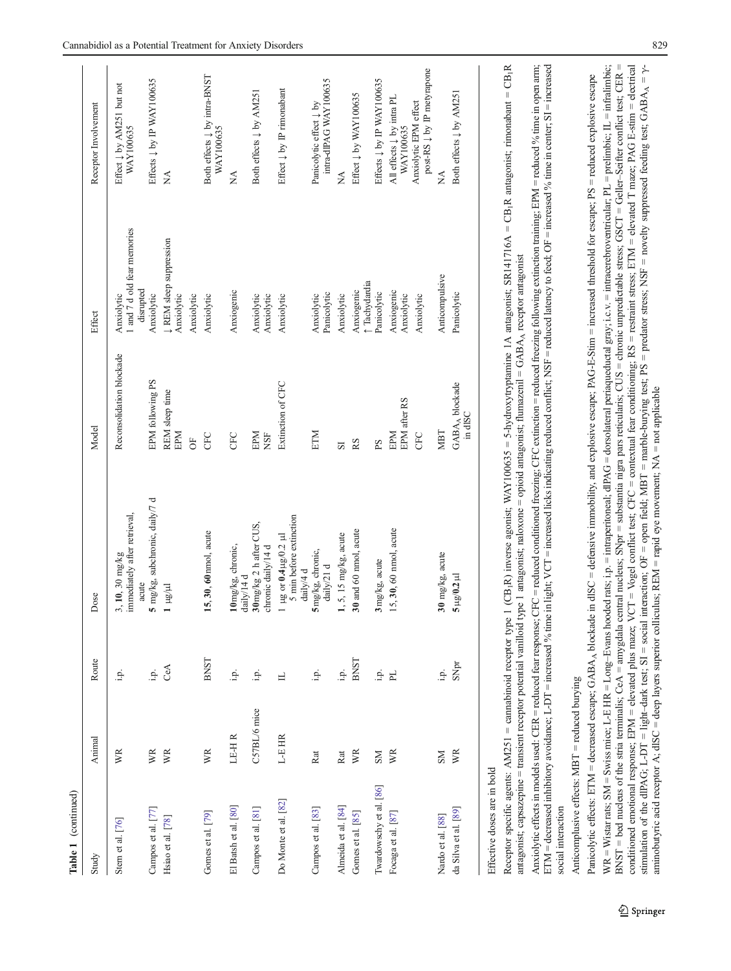| Table 1 (continued)         |              |                |                                                                                                                                                                                            |                                       |                                                        |                                                                |
|-----------------------------|--------------|----------------|--------------------------------------------------------------------------------------------------------------------------------------------------------------------------------------------|---------------------------------------|--------------------------------------------------------|----------------------------------------------------------------|
| Study                       | Animal       | Route          | Dose                                                                                                                                                                                       | Model                                 | Effect                                                 | Receptor Involvement                                           |
| Stem et al. [76]            | WR           | i.p.           | immediately after retrieval,<br>3, 10, 30 mg/kg<br>acute                                                                                                                                   | Reconsolidation blockade              | 1 and 7 d old fear memories<br>disrupted<br>Anxiolytic | Effect $\downarrow$ by AM251 but not<br>WAY100635              |
| Campos et al. [77]          | WR           | غ.<br>ت        | 5 mg/kg, subchronic, daily/7 d                                                                                                                                                             | EPM following PS                      | Anxiolytic                                             | Effects $\downarrow$ by IP WAY100635                           |
| Hsiao et al. [78]           | WR           | CeA            | T hall                                                                                                                                                                                     | REM sleep time<br>EPM                 | ↓ REM sleep suppression<br>Anxiolytic                  | Á                                                              |
|                             |              |                |                                                                                                                                                                                            | $\overline{5}$                        | Anxiolytic                                             |                                                                |
| Gomes et al. [79]           | WR           | <b>BNST</b>    | 15, 30, 60mmol, acute                                                                                                                                                                      | <b>GEC</b>                            | Anxiolytic                                             | Both effects $\downarrow$ by intra-BNST<br>WAY100635           |
| El Batsh et al. [80]        | LE-HR        | i.p.           | 10 mg/kg, chronic,<br>daily/14 d                                                                                                                                                           | <b>CFC</b>                            | Anxiogenic                                             | ≸                                                              |
| Campos et al. [81]          | C57BL/6 mice | i.p.           | 30 mg/kg 2 h after CUS,<br>chronic daily/14 d                                                                                                                                              | EPM<br><b>NSF</b>                     | Anxiolytic<br>Anxiolytic                               | Both effects $\downarrow$ by AM251                             |
| Do Monte et al. [82]        | L-E HR       | 日              | 5 min before extinction<br>1 µg or $0.4 \mu$ g/0.2 µl<br>daily/4 d                                                                                                                         | Extinction of CFC                     | Anxiolytic                                             | Effect $\downarrow$ by IP rimonabant                           |
| Campos et al. [83]          | Rat          | i.p.           | 5mg/kg, chronic,<br>$\mbox{d} \mbox{ai} \mbox{J} \mbox{y}/21$ d                                                                                                                            | ETM                                   | Panicolytic<br>Anxiolytic                              | intra-dlPAG WAY100635<br>Panicolytic effect $\downarrow$ by    |
| Almeida et al. [84]         | Rat          | iņ.            | $1, 5, 15$ mg/kg, acute                                                                                                                                                                    | $\overline{S}$                        | Anxiolytic                                             | ≸                                                              |
| Gomes et al. [85]           | WR           | <b>BNST</b>    | 30 and 60 nmol, acute                                                                                                                                                                      | RS                                    | t Tachydardia<br>Anxiogenic                            | Effect $\downarrow$ by WAY100635                               |
| Twardowschy et al. [86]     | <b>NS</b>    | i.p.           | 3 mg/kg, acute                                                                                                                                                                             | ΡS                                    | Panicolytic                                            | Effects $\downarrow$ by IP WAY100635                           |
| Focaga et al. [87]          | WR           | F <sub>L</sub> | 15, 30, 60 nmol, acute                                                                                                                                                                     | EPM after RS<br>EPM                   | Anxiogenic<br>Anxiolytic                               | All effects $\downarrow$ by intra PL<br>WAY100635              |
|                             |              |                |                                                                                                                                                                                            | <b>GEC</b>                            | Anxiolytic                                             | post-RS $\downarrow$ by IP metyrapone<br>Anxiolytic EPM effect |
| Nardo et al. [88]           | NS           | $\dot{p}$ .    | 30 mg/kg, acute                                                                                                                                                                            | NBT                                   | Anticompulsive                                         | ≸                                                              |
| da Silva et al. [89]        | WR           | SNpr           | $5 \mu g/0.2 \mu l$                                                                                                                                                                        | GABA <sub>A</sub> blockade<br>in dISC | Panicolytic                                            | Both effects $\downarrow$ by AM251                             |
| Effective doses are in bold |              |                | Recenter specific soents: $\Delta M$ 251 = camabinoid recenter type 1 (CB,R) inverse somist: WAV100635 = 5-hydroxytroptomine 1A antasomist: SR141716A = CB,R antasomist: rimonahant = CB,1 |                                       |                                                        |                                                                |

Receptor specific agents: AM251 = cannabinoid receptor type 1 (CB<sub>1</sub>R) inverse agonist; WAY100635 = 5-hydroxytryptamine 1A antagonist; SR141716A = CB<sub>1</sub>R antagonist; rimonabant = CB<sub>1</sub>R Receptor specific agents: AM251 = cannabinoid receptor type 1 (CB<sub>1</sub>R) inverse agonist; WAY100635 = 5-hydroxytryptamine 1A antagonist; SR1417<br>antagonist; capsazepine = transient receptor potential vanilloid type 1 antagoni antagonist; capsazepine = transient receptor potential vanilloid type 1 antagonist; naloxone = opioid antagonist; flumazenil = GABA<sub>A</sub> receptor antagonist

ETM = decreased inhibitory avoidance; L-DT = increased % time in light; VCT = increased licks indicating reduced conflict; NSF = reduced latency to feed; OF = increased % time in center; SI = increased ETM = decreased inhibitory avoidance; L-DT = increased % time in light; VCT = increased licks indicating reduced conflict; NSF = reduced latency to feed; OF = increased % time in center; SI = increased Anxiolytic effects in models used: CER = reduced fear response; CFC = reduced onditioned freezing; CFC extinction = reduced freezing following extinction training; EPM = reduced % time in open arm; Anxiolytic effects in models used: CER = reduced fear response; CFC = reduced onditioned freezing; conditioned freezing following extinction training; EPM = reduced % time in open arm; social interaction social interaction

Anticomplusive effects:  $MBT$  = reduced burying Anticomplusive effects: MBT = reduced burying

WR = Wistar rats; SM = Swiss mice; L-E HR = Long-Evans hooded rats; i.p. = intraperitoneal; dIPAG = dorsolateral periaqueductal gray; i.c.v. = intracerebroventricular; PL = prelimbic; IL = infralimbic; conditioned emotional response; EPM = elevated plus maze; VCT = Vogel conflict test; CFC = contextual fear conditioning; RS = restraint stress; ETM = elevated T maze; PAG E-stim = electrical BNST = bed nucleus of the stria terminalis; CeA = amygdala central nucleus; SNpr = substantia nigra pars reticularis; CUS = chronic unpredictable stress; GSCT = Geller–Seifter conflict test; CER = conditioned emotional response; EPM = elevated plus maze; VCT = Vogel conflict test; CFC = contextual fear conditioning; RS = restraint stress; ETM = elevated T maze; PAG E-stim = electrical stimulation of the dlPAG; L-DT = light-dark test; SI = social interaction; OF = open field; MBT = marble-burying test; PS = predator stress; NSF = novelty suppressed feeding test; GABA<sub>A</sub> =  $\gamma$ -WR = Wistar rats; SM = Swiss mice; L-E HR = Long–Evans hooded rats; i.p. = intraperitoneal; dlPAG = dorsolateral periaqueductal gray; i.c.v. = intracerebroventricular; PL = prelimbic; IL = infralimbic; stimulation of the dIPAG; L-DT = light-dark test; SI = social interaction; OF = open field; MBT = marble-burying test; PS = predator stress; NSF = novelty suppressed feeding test; GABA<sub>A</sub> =  $\gamma$ -Panicolytic effects: ETM = decreased escape; GABA<sub>A</sub> blockade in dISC = defensive immobility, and explosive escape; PAG-E-Stim = increased threshold for escape; PS = reduced explosive escape  $BNST = bed$  nucleus of the stria terminalis;  $CeA = \text{amygidal}$  central nucleus;  $SNpr = \text{substain}$  pars reticularis;  $CUS = \text{drionic}$  unpredictable stress;  $GSCT = Gellre-Scifler$  conflict test;  $CER$ Panicolytic effects: ETM = decreased escape; GABAA blockade in dlSC = defensive immobility, and explosive escape; PAG-E-Stim = increased threshold for escape; PS = reduced explosive escape aminobutyric acid receptor A;  $dISC = \text{deep layers superior colliculus}$ ; REM = rapid eye movement; NA = not applicable aminobutyric acid receptor A; dlSC = deep layers superior colliculus; REM = rapid eye movement; NA = not applicable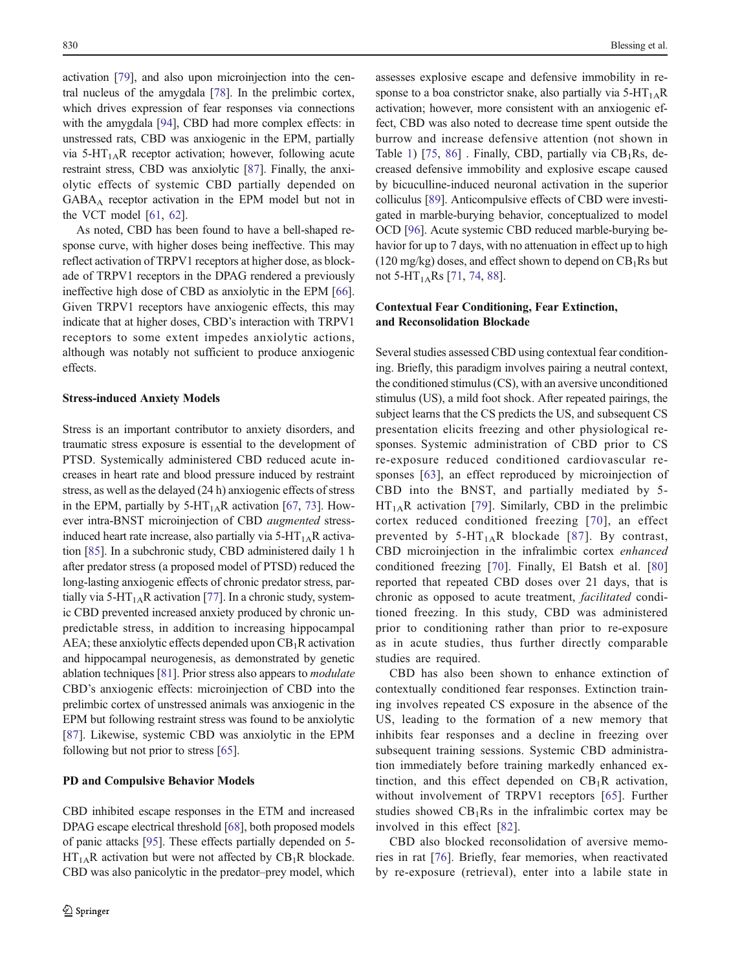activation [\[79\]](#page-10-0), and also upon microinjection into the central nucleus of the amygdala [\[78](#page-10-0)]. In the prelimbic cortex, which drives expression of fear responses via connections with the amygdala [[94\]](#page-11-0), CBD had more complex effects: in unstressed rats, CBD was anxiogenic in the EPM, partially via 5-HT<sub>1A</sub>R receptor activation; however, following acute restraint stress, CBD was anxiolytic [[87\]](#page-10-0). Finally, the anxiolytic effects of systemic CBD partially depended on GABAA receptor activation in the EPM model but not in the VCT model [[61](#page-10-0), [62\]](#page-10-0).

As noted, CBD has been found to have a bell-shaped response curve, with higher doses being ineffective. This may reflect activation of TRPV1 receptors at higher dose, as blockade of TRPV1 receptors in the DPAG rendered a previously ineffective high dose of CBD as anxiolytic in the EPM [[66\]](#page-10-0). Given TRPV1 receptors have anxiogenic effects, this may indicate that at higher doses, CBD's interaction with TRPV1 receptors to some extent impedes anxiolytic actions, although was notably not sufficient to produce anxiogenic effects.

### Stress-induced Anxiety Models

Stress is an important contributor to anxiety disorders, and traumatic stress exposure is essential to the development of PTSD. Systemically administered CBD reduced acute increases in heart rate and blood pressure induced by restraint stress, as well as the delayed (24 h) anxiogenic effects of stress in the EPM, partially by  $5-HT<sub>1A</sub>R$  activation [\[67](#page-10-0), [73](#page-10-0)]. However intra-BNST microinjection of CBD augmented stressinduced heart rate increase, also partially via  $5-HT<sub>1A</sub>R$  activation [\[85\]](#page-10-0). In a subchronic study, CBD administered daily 1 h after predator stress (a proposed model of PTSD) reduced the long-lasting anxiogenic effects of chronic predator stress, par-tially via 5-HT<sub>1A</sub>R activation [[77](#page-10-0)]. In a chronic study, systemic CBD prevented increased anxiety produced by chronic unpredictable stress, in addition to increasing hippocampal AEA; these anxiolytic effects depended upon  $CB_1R$  activation and hippocampal neurogenesis, as demonstrated by genetic ablation techniques [\[81\]](#page-10-0). Prior stress also appears to modulate CBD's anxiogenic effects: microinjection of CBD into the prelimbic cortex of unstressed animals was anxiogenic in the EPM but following restraint stress was found to be anxiolytic [\[87](#page-10-0)]. Likewise, systemic CBD was anxiolytic in the EPM following but not prior to stress [\[65\]](#page-10-0).

### PD and Compulsive Behavior Models

assesses explosive escape and defensive immobility in response to a boa constrictor snake, also partially via  $5-HT_{1A}R$ activation; however, more consistent with an anxiogenic effect, CBD was also noted to decrease time spent outside the burrow and increase defensive attention (not shown in Table [1\)](#page-3-0) [[75,](#page-10-0) [86\]](#page-10-0) . Finally, CBD, partially via  $CB_1Rs$ , decreased defensive immobility and explosive escape caused by bicuculline-induced neuronal activation in the superior colliculus [\[89](#page-11-0)]. Anticompulsive effects of CBD were investigated in marble-burying behavior, conceptualized to model OCD [[96](#page-11-0)]. Acute systemic CBD reduced marble-burying behavior for up to 7 days, with no attenuation in effect up to high  $(120 \text{ mg/kg})$  doses, and effect shown to depend on  $CB_1Rs$  but not 5-HT<sub>1A</sub>Rs [\[71](#page-10-0), [74,](#page-10-0) [88\]](#page-11-0).

# Contextual Fear Conditioning, Fear Extinction, and Reconsolidation Blockade

Several studies assessed CBD using contextual fear conditioning. Briefly, this paradigm involves pairing a neutral context, the conditioned stimulus (CS), with an aversive unconditioned stimulus (US), a mild foot shock. After repeated pairings, the subject learns that the CS predicts the US, and subsequent CS presentation elicits freezing and other physiological responses. Systemic administration of CBD prior to CS re-exposure reduced conditioned cardiovascular responses [[63\]](#page-10-0), an effect reproduced by microinjection of CBD into the BNST, and partially mediated by 5-  $HT<sub>1A</sub>R$  activation [\[79\]](#page-10-0). Similarly, CBD in the prelimbic cortex reduced conditioned freezing [[70\]](#page-10-0), an effect prevented by  $5-HT_{1A}R$  blockade [[87\]](#page-10-0). By contrast, CBD microinjection in the infralimbic cortex enhanced conditioned freezing [[70\]](#page-10-0). Finally, El Batsh et al. [[80](#page-10-0)] reported that repeated CBD doses over 21 days, that is chronic as opposed to acute treatment, facilitated conditioned freezing. In this study, CBD was administered prior to conditioning rather than prior to re-exposure as in acute studies, thus further directly comparable studies are required.

CBD has also been shown to enhance extinction of contextually conditioned fear responses. Extinction training involves repeated CS exposure in the absence of the US, leading to the formation of a new memory that inhibits fear responses and a decline in freezing over subsequent training sessions. Systemic CBD administration immediately before training markedly enhanced extinction, and this effect depended on  $CB_1R$  activation, without involvement of TRPV1 receptors [\[65](#page-10-0)]. Further studies showed  $CB_1Rs$  in the infralimbic cortex may be involved in this effect [\[82](#page-10-0)].

CBD also blocked reconsolidation of aversive memories in rat [\[76](#page-10-0)]. Briefly, fear memories, when reactivated by re-exposure (retrieval), enter into a labile state in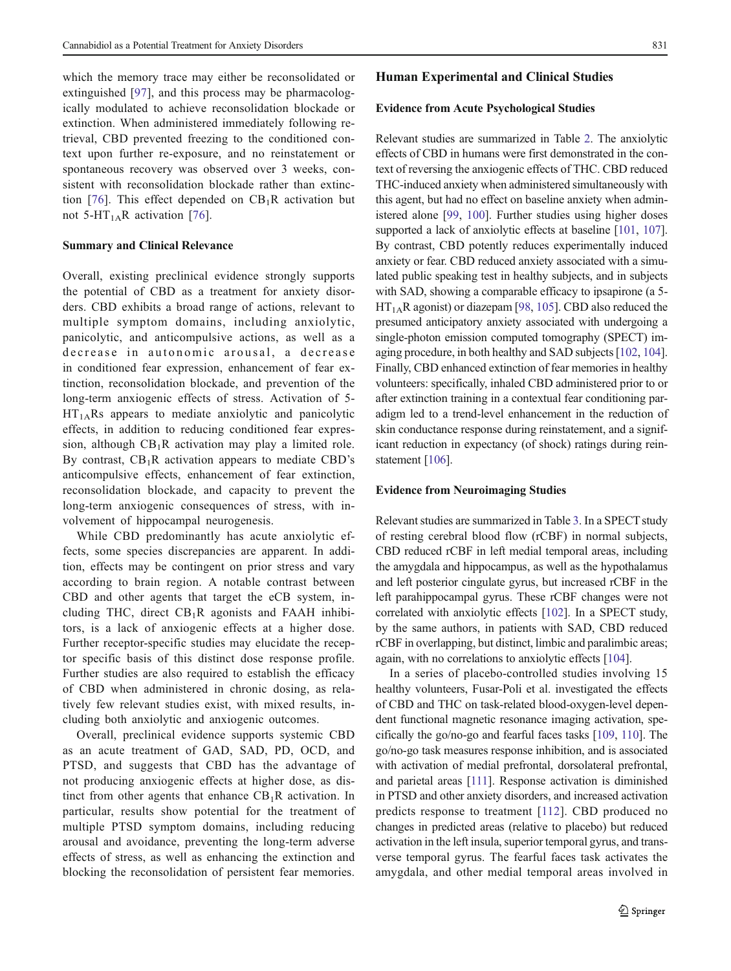which the memory trace may either be reconsolidated or extinguished [[97\]](#page-11-0), and this process may be pharmacologically modulated to achieve reconsolidation blockade or extinction. When administered immediately following retrieval, CBD prevented freezing to the conditioned context upon further re-exposure, and no reinstatement or spontaneous recovery was observed over 3 weeks, consistent with reconsolidation blockade rather than extinc-tion [[76\]](#page-10-0). This effect depended on  $CB_1R$  activation but not 5-HT<sub>1A</sub>R activation [[76](#page-10-0)].

# Summary and Clinical Relevance

Overall, existing preclinical evidence strongly supports the potential of CBD as a treatment for anxiety disorders. CBD exhibits a broad range of actions, relevant to multiple symptom domains, including anxiolytic, panicolytic, and anticompulsive actions, as well as a decrease in autonomic arousal, a decrease in conditioned fear expression, enhancement of fear extinction, reconsolidation blockade, and prevention of the long-term anxiogenic effects of stress. Activation of 5-  $HT<sub>1A</sub>Rs$  appears to mediate anxiolytic and panicolytic effects, in addition to reducing conditioned fear expression, although  $CB_1R$  activation may play a limited role. By contrast,  $CB_1R$  activation appears to mediate CBD's anticompulsive effects, enhancement of fear extinction, reconsolidation blockade, and capacity to prevent the long-term anxiogenic consequences of stress, with involvement of hippocampal neurogenesis.

While CBD predominantly has acute anxiolytic effects, some species discrepancies are apparent. In addition, effects may be contingent on prior stress and vary according to brain region. A notable contrast between CBD and other agents that target the eCB system, including THC, direct  $CB_1R$  agonists and FAAH inhibitors, is a lack of anxiogenic effects at a higher dose. Further receptor-specific studies may elucidate the receptor specific basis of this distinct dose response profile. Further studies are also required to establish the efficacy of CBD when administered in chronic dosing, as relatively few relevant studies exist, with mixed results, including both anxiolytic and anxiogenic outcomes.

Overall, preclinical evidence supports systemic CBD as an acute treatment of GAD, SAD, PD, OCD, and PTSD, and suggests that CBD has the advantage of not producing anxiogenic effects at higher dose, as distinct from other agents that enhance  $CB_1R$  activation. In particular, results show potential for the treatment of multiple PTSD symptom domains, including reducing arousal and avoidance, preventing the long-term adverse effects of stress, as well as enhancing the extinction and blocking the reconsolidation of persistent fear memories.

### Human Experimental and Clinical Studies

### Evidence from Acute Psychological Studies

Relevant studies are summarized in Table [2](#page-7-0). The anxiolytic effects of CBD in humans were first demonstrated in the context of reversing the anxiogenic effects of THC. CBD reduced THC-induced anxiety when administered simultaneously with this agent, but had no effect on baseline anxiety when administered alone [\[99](#page-11-0), [100](#page-11-0)]. Further studies using higher doses supported a lack of anxiolytic effects at baseline [[101](#page-11-0), [107\]](#page-11-0). By contrast, CBD potently reduces experimentally induced anxiety or fear. CBD reduced anxiety associated with a simulated public speaking test in healthy subjects, and in subjects with SAD, showing a comparable efficacy to ipsapirone (a 5- $HT<sub>1A</sub>R$  agonist) or diazepam [[98](#page-11-0), [105\]](#page-11-0). CBD also reduced the presumed anticipatory anxiety associated with undergoing a single-photon emission computed tomography (SPECT) imaging procedure, in both healthy and SAD subjects [\[102,](#page-11-0) [104\]](#page-11-0). Finally, CBD enhanced extinction of fear memories in healthy volunteers: specifically, inhaled CBD administered prior to or after extinction training in a contextual fear conditioning paradigm led to a trend-level enhancement in the reduction of skin conductance response during reinstatement, and a significant reduction in expectancy (of shock) ratings during rein-statement [[106](#page-11-0)].

### Evidence from Neuroimaging Studies

Relevant studies are summarized in Table [3.](#page-7-0) In a SPECT study of resting cerebral blood flow (rCBF) in normal subjects, CBD reduced rCBF in left medial temporal areas, including the amygdala and hippocampus, as well as the hypothalamus and left posterior cingulate gyrus, but increased rCBF in the left parahippocampal gyrus. These rCBF changes were not correlated with anxiolytic effects [[102](#page-11-0)]. In a SPECT study, by the same authors, in patients with SAD, CBD reduced rCBF in overlapping, but distinct, limbic and paralimbic areas; again, with no correlations to anxiolytic effects [\[104\]](#page-11-0).

In a series of placebo-controlled studies involving 15 healthy volunteers, Fusar-Poli et al. investigated the effects of CBD and THC on task-related blood-oxygen-level dependent functional magnetic resonance imaging activation, specifically the go/no-go and fearful faces tasks [\[109,](#page-11-0) [110\]](#page-11-0). The go/no-go task measures response inhibition, and is associated with activation of medial prefrontal, dorsolateral prefrontal, and parietal areas [[111\]](#page-11-0). Response activation is diminished in PTSD and other anxiety disorders, and increased activation predicts response to treatment [\[112\]](#page-11-0). CBD produced no changes in predicted areas (relative to placebo) but reduced activation in the left insula, superior temporal gyrus, and transverse temporal gyrus. The fearful faces task activates the amygdala, and other medial temporal areas involved in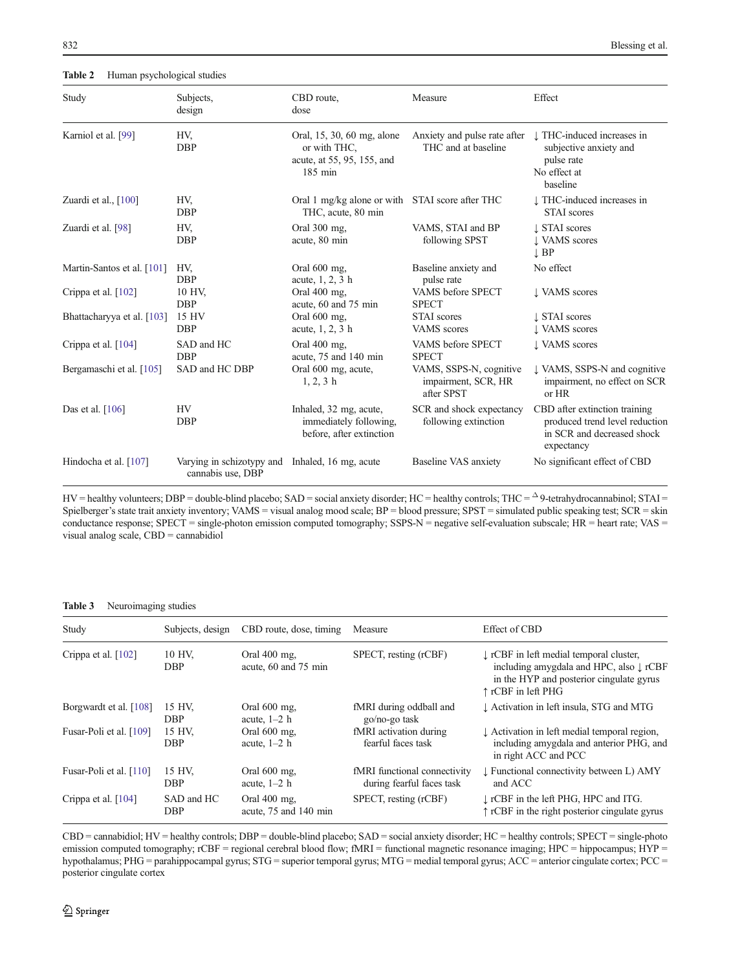<span id="page-7-0"></span>Table 2 Human psychological studies

| Study                      | Subjects,<br>design                            | CBD route,<br>dose                                                                            | Measure                                                      | Effect                                                                                                      |
|----------------------------|------------------------------------------------|-----------------------------------------------------------------------------------------------|--------------------------------------------------------------|-------------------------------------------------------------------------------------------------------------|
| Karniol et al. [99]        | HV,<br><b>DBP</b>                              | Oral, 15, 30, 60 mg, alone<br>or with THC,<br>acute, at 55, 95, 155, and<br>$185 \text{ min}$ | Anxiety and pulse rate after<br>THC and at baseline          | THC-induced increases in<br>subjective anxiety and<br>pulse rate<br>No effect at<br>baseline                |
| Zuardi et al., $[100]$     | HV,<br><b>DBP</b>                              | Oral 1 mg/kg alone or with STAI score after THC<br>THC, acute, 80 min                         |                                                              | THC-induced increases in<br><b>STAI</b> scores                                                              |
| Zuardi et al. [98]         | HV.<br><b>DBP</b>                              | Oral 300 mg,<br>acute, 80 min                                                                 | VAMS, STAI and BP<br>following SPST                          | <b>J</b> STAI scores<br>L VAMS scores<br>$\perp$ BP                                                         |
| Martin-Santos et al. [101] | HV,<br><b>DBP</b>                              | Oral 600 mg,<br>acute, 1, 2, 3 h                                                              | Baseline anxiety and<br>pulse rate                           | No effect                                                                                                   |
| Crippa et al. [102]        | 10 HV,<br><b>DBP</b>                           | Oral 400 mg,<br>acute, 60 and 75 min                                                          | VAMS before SPECT<br><b>SPECT</b>                            | <b>L</b> VAMS scores                                                                                        |
| Bhattacharyya et al. [103] | 15 HV<br><b>DBP</b>                            | Oral 600 mg,<br>acute, $1, 2, 3$ h                                                            | <b>STAI</b> scores<br>VAMS scores                            | <b>J</b> STAI scores<br><b>L VAMS</b> scores                                                                |
| Crippa et al. [104]        | SAD and HC<br><b>DBP</b>                       | Oral 400 mg,<br>acute, 75 and 140 min                                                         | VAMS before SPECT<br><b>SPECT</b>                            | <b>U</b> VAMS scores                                                                                        |
| Bergamaschi et al. [105]   | SAD and HC DBP                                 | Oral 600 mg, acute,<br>$1, 2, 3$ h                                                            | VAMS, SSPS-N, cognitive<br>impairment, SCR, HR<br>after SPST | ↓ VAMS, SSPS-N and cognitive<br>impairment, no effect on SCR<br>or HR                                       |
| Das et al. $[106]$         | <b>HV</b><br><b>DBP</b>                        | Inhaled, 32 mg, acute,<br>immediately following,<br>before, after extinction                  | SCR and shock expectancy<br>following extinction             | CBD after extinction training<br>produced trend level reduction<br>in SCR and decreased shock<br>expectancy |
| Hindocha et al. [107]      | Varying in schizotypy and<br>cannabis use, DBP | Inhaled, 16 mg, acute                                                                         | Baseline VAS anxiety                                         | No significant effect of CBD                                                                                |

 $HV =$  healthy volunteers;  $DBP =$  double-blind placebo;  $SAD =$  social anxiety disorder;  $HC =$  healthy controls;  $THC = \Delta 9$ -tetrahydrocannabinol;  $STAI =$ Spielberger's state trait anxiety inventory; VAMS = visual analog mood scale; BP = blood pressure; SPST = simulated public speaking test; SCR = skin conductance response; SPECT = single-photon emission computed tomography; SSPS-N = negative self-evaluation subscale; HR = heart rate; VAS = visual analog scale, CBD = cannabidiol

### Table 3 Neuroimaging studies

| Study                   | Subjects, design         | CBD route, dose, timing                | Measure                                                   | Effect of CBD                                                                                                                                                              |
|-------------------------|--------------------------|----------------------------------------|-----------------------------------------------------------|----------------------------------------------------------------------------------------------------------------------------------------------------------------------------|
| Crippa et al. [102]     | 10 HV.<br><b>DBP</b>     | Oral $400$ mg.<br>acute, 60 and 75 min | SPECT, resting (rCBF)                                     | $\downarrow$ rCBF in left medial temporal cluster,<br>including amygdala and HPC, also $\downarrow$ rCBF<br>in the HYP and posterior cingulate gyrus<br>↑ rCBF in left PHG |
| Borgwardt et al. [108]  | 15 HV.<br><b>DBP</b>     | Oral $600$ mg,<br>acute, $1-2$ h       | fMRI during oddball and<br>go/no-go task                  | L Activation in left insula, STG and MTG                                                                                                                                   |
| Fusar-Poli et al. [109] | 15 HV.<br><b>DBP</b>     | Oral $600$ mg,<br>acute, $1-2$ h       | fMRI activation during<br>fearful faces task              | L Activation in left medial temporal region,<br>including amygdala and anterior PHG, and<br>in right ACC and PCC                                                           |
| Fusar-Poli et al. [110] | 15 HV.<br><b>DBP</b>     | Oral 600 mg,<br>acute, $1-2$ h         | fMRI functional connectivity<br>during fearful faces task | L Functional connectivity between L) AMY<br>and ACC                                                                                                                        |
| Crippa et al. [104]     | SAD and HC<br><b>DBP</b> | Oral 400 mg,<br>acute, 75 and 140 min  | SPECT, resting (rCBF)                                     | I rCBF in the left PHG, HPC and ITG.<br>↑ rCBF in the right posterior cingulate gyrus                                                                                      |

CBD = cannabidiol; HV = healthy controls; DBP = double-blind placebo; SAD = social anxiety disorder; HC = healthy controls; SPECT = single-photo emission computed tomography; rCBF = regional cerebral blood flow; fMRI = functional magnetic resonance imaging; HPC = hippocampus; HYP = hypothalamus; PHG = parahippocampal gyrus; STG = superior temporal gyrus; MTG = medial temporal gyrus; ACC = anterior cingulate cortex; PCC = posterior cingulate cortex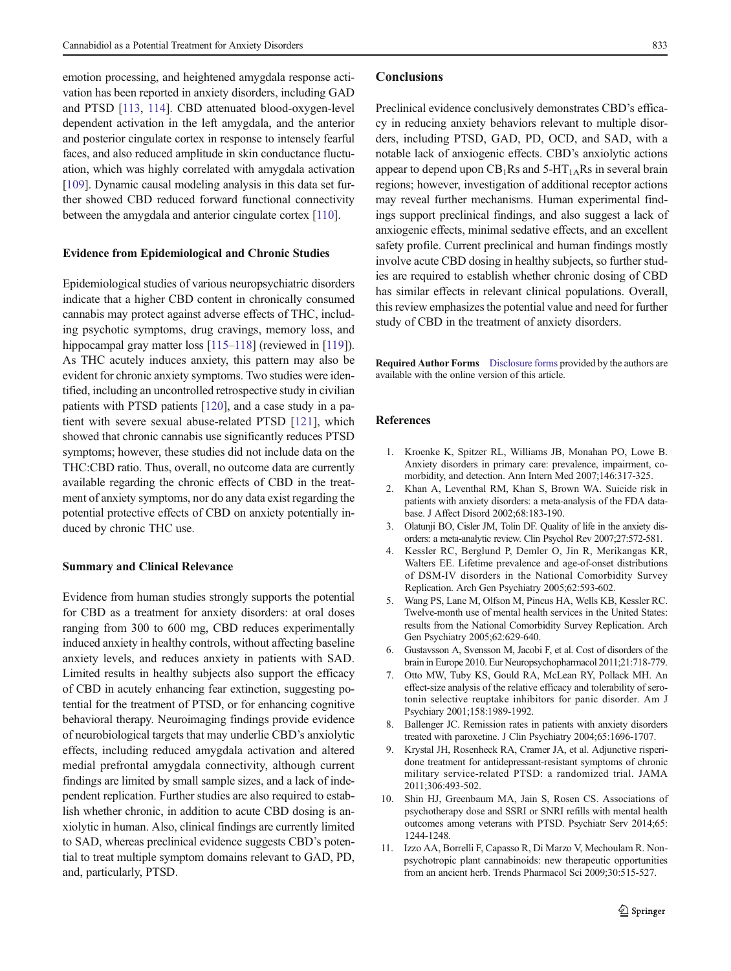<span id="page-8-0"></span>emotion processing, and heightened amygdala response activation has been reported in anxiety disorders, including GAD and PTSD [[113](#page-11-0), [114](#page-11-0)]. CBD attenuated blood-oxygen-level dependent activation in the left amygdala, and the anterior and posterior cingulate cortex in response to intensely fearful faces, and also reduced amplitude in skin conductance fluctuation, which was highly correlated with amygdala activation [\[109\]](#page-11-0). Dynamic causal modeling analysis in this data set further showed CBD reduced forward functional connectivity between the amygdala and anterior cingulate cortex [[110](#page-11-0)].

# Evidence from Epidemiological and Chronic Studies

Epidemiological studies of various neuropsychiatric disorders indicate that a higher CBD content in chronically consumed cannabis may protect against adverse effects of THC, including psychotic symptoms, drug cravings, memory loss, and hippocampal gray matter loss [[115](#page-11-0)–[118\]](#page-11-0) (reviewed in [\[119](#page-11-0)]). As THC acutely induces anxiety, this pattern may also be evident for chronic anxiety symptoms. Two studies were identified, including an uncontrolled retrospective study in civilian patients with PTSD patients [\[120\]](#page-11-0), and a case study in a patient with severe sexual abuse-related PTSD [\[121](#page-11-0)], which showed that chronic cannabis use significantly reduces PTSD symptoms; however, these studies did not include data on the THC:CBD ratio. Thus, overall, no outcome data are currently available regarding the chronic effects of CBD in the treatment of anxiety symptoms, nor do any data exist regarding the potential protective effects of CBD on anxiety potentially induced by chronic THC use.

### Summary and Clinical Relevance

Evidence from human studies strongly supports the potential for CBD as a treatment for anxiety disorders: at oral doses ranging from 300 to 600 mg, CBD reduces experimentally induced anxiety in healthy controls, without affecting baseline anxiety levels, and reduces anxiety in patients with SAD. Limited results in healthy subjects also support the efficacy of CBD in acutely enhancing fear extinction, suggesting potential for the treatment of PTSD, or for enhancing cognitive behavioral therapy. Neuroimaging findings provide evidence of neurobiological targets that may underlie CBD's anxiolytic effects, including reduced amygdala activation and altered medial prefrontal amygdala connectivity, although current findings are limited by small sample sizes, and a lack of independent replication. Further studies are also required to establish whether chronic, in addition to acute CBD dosing is anxiolytic in human. Also, clinical findings are currently limited to SAD, whereas preclinical evidence suggests CBD's potential to treat multiple symptom domains relevant to GAD, PD, and, particularly, PTSD.

### **Conclusions**

Preclinical evidence conclusively demonstrates CBD's efficacy in reducing anxiety behaviors relevant to multiple disorders, including PTSD, GAD, PD, OCD, and SAD, with a notable lack of anxiogenic effects. CBD's anxiolytic actions appear to depend upon  $CB_1Rs$  and 5-HT<sub>1A</sub>Rs in several brain regions; however, investigation of additional receptor actions may reveal further mechanisms. Human experimental findings support preclinical findings, and also suggest a lack of anxiogenic effects, minimal sedative effects, and an excellent safety profile. Current preclinical and human findings mostly involve acute CBD dosing in healthy subjects, so further studies are required to establish whether chronic dosing of CBD has similar effects in relevant clinical populations. Overall, this review emphasizes the potential value and need for further study of CBD in the treatment of anxiety disorders.

Required Author Forms Disclosure forms provided by the authors are available with the online version of this article.

# References

- 1. Kroenke K, Spitzer RL, Williams JB, Monahan PO, Lowe B. Anxiety disorders in primary care: prevalence, impairment, comorbidity, and detection. Ann Intern Med 2007;146:317-325.
- 2. Khan A, Leventhal RM, Khan S, Brown WA. Suicide risk in patients with anxiety disorders: a meta-analysis of the FDA database. J Affect Disord 2002;68:183-190.
- 3. Olatunji BO, Cisler JM, Tolin DF. Quality of life in the anxiety disorders: a meta-analytic review. Clin Psychol Rev 2007;27:572-581.
- 4. Kessler RC, Berglund P, Demler O, Jin R, Merikangas KR, Walters EE. Lifetime prevalence and age-of-onset distributions of DSM-IV disorders in the National Comorbidity Survey Replication. Arch Gen Psychiatry 2005;62:593-602.
- 5. Wang PS, Lane M, Olfson M, Pincus HA, Wells KB, Kessler RC. Twelve-month use of mental health services in the United States: results from the National Comorbidity Survey Replication. Arch Gen Psychiatry 2005;62:629-640.
- 6. Gustavsson A, Svensson M, Jacobi F, et al. Cost of disorders of the brain in Europe 2010. Eur Neuropsychopharmacol 2011;21:718-779.
- 7. Otto MW, Tuby KS, Gould RA, McLean RY, Pollack MH. An effect-size analysis of the relative efficacy and tolerability of serotonin selective reuptake inhibitors for panic disorder. Am J Psychiary 2001;158:1989-1992.
- 8. Ballenger JC. Remission rates in patients with anxiety disorders treated with paroxetine. J Clin Psychiatry 2004;65:1696-1707.
- 9. Krystal JH, Rosenheck RA, Cramer JA, et al. Adjunctive risperidone treatment for antidepressant-resistant symptoms of chronic military service-related PTSD: a randomized trial. JAMA 2011;306:493-502.
- 10. Shin HJ, Greenbaum MA, Jain S, Rosen CS. Associations of psychotherapy dose and SSRI or SNRI refills with mental health outcomes among veterans with PTSD. Psychiatr Serv 2014;65: 1244-1248.
- 11. Izzo AA, Borrelli F, Capasso R, Di Marzo V, Mechoulam R. Nonpsychotropic plant cannabinoids: new therapeutic opportunities from an ancient herb. Trends Pharmacol Sci 2009;30:515-527.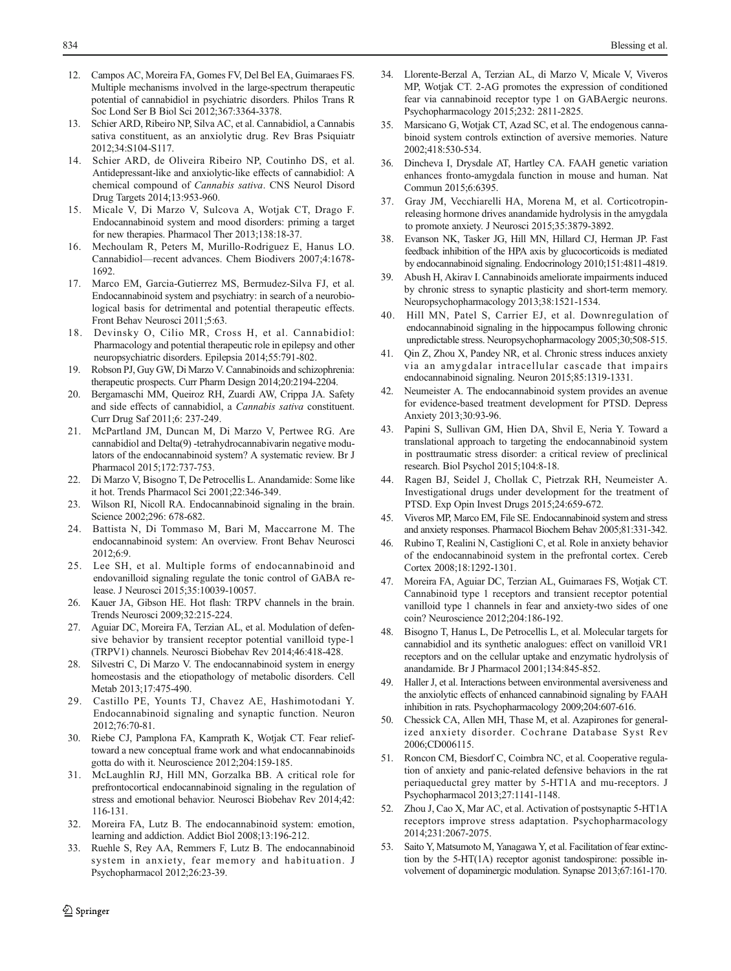- <span id="page-9-0"></span>12. Campos AC, Moreira FA, Gomes FV, Del Bel EA, Guimaraes FS. Multiple mechanisms involved in the large-spectrum therapeutic potential of cannabidiol in psychiatric disorders. Philos Trans R Soc Lond Ser B Biol Sci 2012;367:3364-3378.
- 13. Schier ARD, Ribeiro NP, Silva AC, et al. Cannabidiol, a Cannabis sativa constituent, as an anxiolytic drug. Rev Bras Psiquiatr 2012;34:S104-S117.
- 14. Schier ARD, de Oliveira Ribeiro NP, Coutinho DS, et al. Antidepressant-like and anxiolytic-like effects of cannabidiol: A chemical compound of Cannabis sativa. CNS Neurol Disord Drug Targets 2014;13:953-960.
- 15. Micale V, Di Marzo V, Sulcova A, Wotjak CT, Drago F. Endocannabinoid system and mood disorders: priming a target for new therapies. Pharmacol Ther 2013;138:18-37.
- 16. Mechoulam R, Peters M, Murillo-Rodriguez E, Hanus LO. Cannabidiol—recent advances. Chem Biodivers 2007;4:1678- 1692.
- 17. Marco EM, Garcia-Gutierrez MS, Bermudez-Silva FJ, et al. Endocannabinoid system and psychiatry: in search of a neurobiological basis for detrimental and potential therapeutic effects. Front Behav Neurosci 2011;5:63.
- 18. Devinsky O, Cilio MR, Cross H, et al. Cannabidiol: Pharmacology and potential therapeutic role in epilepsy and other neuropsychiatric disorders. Epilepsia 2014;55:791-802.
- 19. Robson PJ, Guy GW, Di Marzo V. Cannabinoids and schizophrenia: therapeutic prospects. Curr Pharm Design 2014;20:2194-2204.
- 20. Bergamaschi MM, Queiroz RH, Zuardi AW, Crippa JA. Safety and side effects of cannabidiol, a Cannabis sativa constituent. Curr Drug Saf 2011;6: 237-249.
- 21. McPartland JM, Duncan M, Di Marzo V, Pertwee RG. Are cannabidiol and Delta(9) -tetrahydrocannabivarin negative modulators of the endocannabinoid system? A systematic review. Br J Pharmacol 2015;172:737-753.
- 22. Di Marzo V, Bisogno T, De Petrocellis L. Anandamide: Some like it hot. Trends Pharmacol Sci 2001;22:346-349.
- 23. Wilson RI, Nicoll RA. Endocannabinoid signaling in the brain. Science 2002;296: 678-682.
- 24. Battista N, Di Tommaso M, Bari M, Maccarrone M. The endocannabinoid system: An overview. Front Behav Neurosci 2012;6:9.
- 25. Lee SH, et al. Multiple forms of endocannabinoid and endovanilloid signaling regulate the tonic control of GABA release. J Neurosci 2015;35:10039-10057.
- 26. Kauer JA, Gibson HE. Hot flash: TRPV channels in the brain. Trends Neurosci 2009;32:215-224.
- 27. Aguiar DC, Moreira FA, Terzian AL, et al. Modulation of defensive behavior by transient receptor potential vanilloid type-1 (TRPV1) channels. Neurosci Biobehav Rev 2014;46:418-428.
- 28. Silvestri C, Di Marzo V. The endocannabinoid system in energy homeostasis and the etiopathology of metabolic disorders. Cell Metab 2013;17:475-490.
- 29. Castillo PE, Younts TJ, Chavez AE, Hashimotodani Y. Endocannabinoid signaling and synaptic function. Neuron 2012;76:70-81.
- 30. Riebe CJ, Pamplona FA, Kamprath K, Wotjak CT. Fear relieftoward a new conceptual frame work and what endocannabinoids gotta do with it. Neuroscience 2012;204:159-185.
- 31. McLaughlin RJ, Hill MN, Gorzalka BB. A critical role for prefrontocortical endocannabinoid signaling in the regulation of stress and emotional behavior. Neurosci Biobehav Rev 2014;42: 116-131.
- 32. Moreira FA, Lutz B. The endocannabinoid system: emotion, learning and addiction. Addict Biol 2008;13:196-212.
- 33. Ruehle S, Rey AA, Remmers F, Lutz B. The endocannabinoid system in anxiety, fear memory and habituation. J Psychopharmacol 2012;26:23-39.
- 34. Llorente-Berzal A, Terzian AL, di Marzo V, Micale V, Viveros MP, Wotjak CT. 2-AG promotes the expression of conditioned fear via cannabinoid receptor type 1 on GABAergic neurons. Psychopharmacology 2015;232: 2811-2825.
- 35. Marsicano G, Wotjak CT, Azad SC, et al. The endogenous cannabinoid system controls extinction of aversive memories. Nature 2002;418:530-534.
- 36. Dincheva I, Drysdale AT, Hartley CA. FAAH genetic variation enhances fronto-amygdala function in mouse and human. Nat Commun 2015;6:6395.
- 37. Gray JM, Vecchiarelli HA, Morena M, et al. Corticotropinreleasing hormone drives anandamide hydrolysis in the amygdala to promote anxiety. J Neurosci 2015;35:3879-3892.
- 38. Evanson NK, Tasker JG, Hill MN, Hillard CJ, Herman JP. Fast feedback inhibition of the HPA axis by glucocorticoids is mediated by endocannabinoid signaling. Endocrinology 2010;151:4811-4819.
- Abush H, Akirav I. Cannabinoids ameliorate impairments induced by chronic stress to synaptic plasticity and short-term memory. Neuropsychopharmacology 2013;38:1521-1534.
- 40. Hill MN, Patel S, Carrier EJ, et al. Downregulation of endocannabinoid signaling in the hippocampus following chronic unpredictable stress. Neuropsychopharmacology 2005;30;508-515.
- 41. Qin Z, Zhou X, Pandey NR, et al. Chronic stress induces anxiety via an amygdalar intracellular cascade that impairs endocannabinoid signaling. Neuron 2015;85:1319-1331.
- Neumeister A. The endocannabinoid system provides an avenue for evidence-based treatment development for PTSD. Depress Anxiety 2013;30:93-96.
- 43. Papini S, Sullivan GM, Hien DA, Shvil E, Neria Y. Toward a translational approach to targeting the endocannabinoid system in posttraumatic stress disorder: a critical review of preclinical research. Biol Psychol 2015;104:8-18.
- 44. Ragen BJ, Seidel J, Chollak C, Pietrzak RH, Neumeister A. Investigational drugs under development for the treatment of PTSD. Exp Opin Invest Drugs 2015;24:659-672.
- 45. Viveros MP, Marco EM, File SE. Endocannabinoid system and stress and anxiety responses. Pharmacol Biochem Behav 2005;81:331-342.
- 46. Rubino T, Realini N, Castiglioni C, et al. Role in anxiety behavior of the endocannabinoid system in the prefrontal cortex. Cereb Cortex 2008;18:1292-1301.
- 47. Moreira FA, Aguiar DC, Terzian AL, Guimaraes FS, Wotjak CT. Cannabinoid type 1 receptors and transient receptor potential vanilloid type 1 channels in fear and anxiety-two sides of one coin? Neuroscience 2012;204:186-192.
- 48. Bisogno T, Hanus L, De Petrocellis L, et al. Molecular targets for cannabidiol and its synthetic analogues: effect on vanilloid VR1 receptors and on the cellular uptake and enzymatic hydrolysis of anandamide. Br J Pharmacol 2001;134:845-852.
- Haller J, et al. Interactions between environmental aversiveness and the anxiolytic effects of enhanced cannabinoid signaling by FAAH inhibition in rats. Psychopharmacology 2009;204:607-616.
- 50. Chessick CA, Allen MH, Thase M, et al. Azapirones for generalized anxiety disorder. Cochrane Database Syst Rev 2006;CD006115.
- 51. Roncon CM, Biesdorf C, Coimbra NC, et al. Cooperative regulation of anxiety and panic-related defensive behaviors in the rat periaqueductal grey matter by 5-HT1A and mu-receptors. J Psychopharmacol 2013;27:1141-1148.
- 52. Zhou J, Cao X, Mar AC, et al. Activation of postsynaptic 5-HT1A receptors improve stress adaptation. Psychopharmacology 2014;231:2067-2075.
- Saito Y, Matsumoto M, Yanagawa Y, et al. Facilitation of fear extinction by the 5-HT(1A) receptor agonist tandospirone: possible involvement of dopaminergic modulation. Synapse 2013;67:161-170.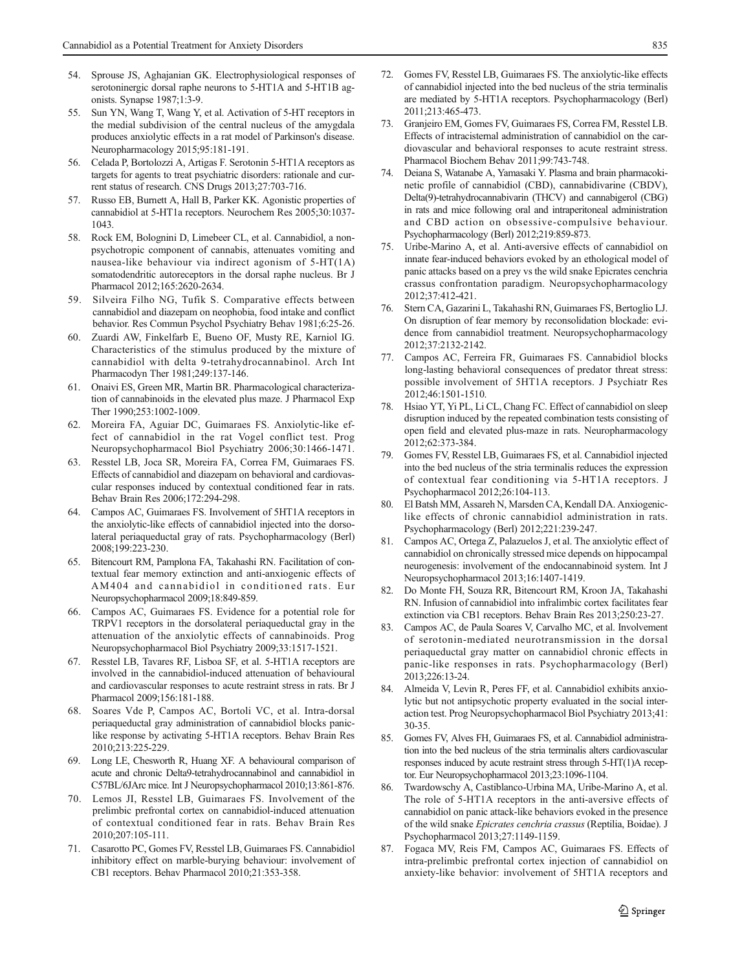- <span id="page-10-0"></span>54. Sprouse JS, Aghajanian GK. Electrophysiological responses of serotoninergic dorsal raphe neurons to 5-HT1A and 5-HT1B agonists. Synapse 1987;1:3-9.
- 55. Sun YN, Wang T, Wang Y, et al. Activation of 5-HT receptors in the medial subdivision of the central nucleus of the amygdala produces anxiolytic effects in a rat model of Parkinson's disease. Neuropharmacology 2015;95:181-191.
- 56. Celada P, Bortolozzi A, Artigas F. Serotonin 5-HT1A receptors as targets for agents to treat psychiatric disorders: rationale and current status of research. CNS Drugs 2013;27:703-716.
- 57. Russo EB, Burnett A, Hall B, Parker KK. Agonistic properties of cannabidiol at 5-HT1a receptors. Neurochem Res 2005;30:1037- 1043.
- 58. Rock EM, Bolognini D, Limebeer CL, et al. Cannabidiol, a nonpsychotropic component of cannabis, attenuates vomiting and nausea-like behaviour via indirect agonism of 5-HT(1A) somatodendritic autoreceptors in the dorsal raphe nucleus. Br J Pharmacol 2012;165:2620-2634.
- 59. Silveira Filho NG, Tufik S. Comparative effects between cannabidiol and diazepam on neophobia, food intake and conflict behavior. Res Commun Psychol Psychiatry Behav 1981;6:25-26.
- 60. Zuardi AW, Finkelfarb E, Bueno OF, Musty RE, Karniol IG. Characteristics of the stimulus produced by the mixture of cannabidiol with delta 9-tetrahydrocannabinol. Arch Int Pharmacodyn Ther 1981;249:137-146.
- 61. Onaivi ES, Green MR, Martin BR. Pharmacological characterization of cannabinoids in the elevated plus maze. J Pharmacol Exp Ther 1990;253:1002-1009.
- 62. Moreira FA, Aguiar DC, Guimaraes FS. Anxiolytic-like effect of cannabidiol in the rat Vogel conflict test. Prog Neuropsychopharmacol Biol Psychiatry 2006;30:1466-1471.
- 63. Resstel LB, Joca SR, Moreira FA, Correa FM, Guimaraes FS. Effects of cannabidiol and diazepam on behavioral and cardiovascular responses induced by contextual conditioned fear in rats. Behav Brain Res 2006;172:294-298.
- 64. Campos AC, Guimaraes FS. Involvement of 5HT1A receptors in the anxiolytic-like effects of cannabidiol injected into the dorsolateral periaqueductal gray of rats. Psychopharmacology (Berl) 2008;199:223-230.
- 65. Bitencourt RM, Pamplona FA, Takahashi RN. Facilitation of contextual fear memory extinction and anti-anxiogenic effects of AM404 and cannabidiol in conditioned rats. Eur Neuropsychopharmacol 2009;18:849-859.
- 66. Campos AC, Guimaraes FS. Evidence for a potential role for TRPV1 receptors in the dorsolateral periaqueductal gray in the attenuation of the anxiolytic effects of cannabinoids. Prog Neuropsychopharmacol Biol Psychiatry 2009;33:1517-1521.
- 67. Resstel LB, Tavares RF, Lisboa SF, et al. 5-HT1A receptors are involved in the cannabidiol-induced attenuation of behavioural and cardiovascular responses to acute restraint stress in rats. Br J Pharmacol 2009;156:181-188.
- 68. Soares Vde P, Campos AC, Bortoli VC, et al. Intra-dorsal periaqueductal gray administration of cannabidiol blocks paniclike response by activating 5-HT1A receptors. Behav Brain Res 2010;213:225-229.
- 69. Long LE, Chesworth R, Huang XF. A behavioural comparison of acute and chronic Delta9-tetrahydrocannabinol and cannabidiol in C57BL/6JArc mice. Int J Neuropsychopharmacol 2010;13:861-876.
- 70. Lemos JI, Resstel LB, Guimaraes FS. Involvement of the prelimbic prefrontal cortex on cannabidiol-induced attenuation of contextual conditioned fear in rats. Behav Brain Res 2010;207:105-111.
- 71. Casarotto PC, Gomes FV, Resstel LB, Guimaraes FS. Cannabidiol inhibitory effect on marble-burying behaviour: involvement of CB1 receptors. Behav Pharmacol 2010;21:353-358.
- 72. Gomes FV, Resstel LB, Guimaraes FS. The anxiolytic-like effects of cannabidiol injected into the bed nucleus of the stria terminalis are mediated by 5-HT1A receptors. Psychopharmacology (Berl) 2011;213:465-473.
- 73. Granjeiro EM, Gomes FV, Guimaraes FS, Correa FM, Resstel LB. Effects of intracisternal administration of cannabidiol on the cardiovascular and behavioral responses to acute restraint stress. Pharmacol Biochem Behav 2011;99:743-748.
- 74. Deiana S, Watanabe A, Yamasaki Y. Plasma and brain pharmacokinetic profile of cannabidiol (CBD), cannabidivarine (CBDV), Delta(9)-tetrahydrocannabivarin (THCV) and cannabigerol (CBG) in rats and mice following oral and intraperitoneal administration and CBD action on obsessive-compulsive behaviour. Psychopharmacology (Berl) 2012;219:859-873.
- 75. Uribe-Marino A, et al. Anti-aversive effects of cannabidiol on innate fear-induced behaviors evoked by an ethological model of panic attacks based on a prey vs the wild snake Epicrates cenchria crassus confrontation paradigm. Neuropsychopharmacology 2012;37:412-421.
- 76. Stern CA, Gazarini L, Takahashi RN, Guimaraes FS, Bertoglio LJ. On disruption of fear memory by reconsolidation blockade: evidence from cannabidiol treatment. Neuropsychopharmacology 2012;37:2132-2142.
- 77. Campos AC, Ferreira FR, Guimaraes FS. Cannabidiol blocks long-lasting behavioral consequences of predator threat stress: possible involvement of 5HT1A receptors. J Psychiatr Res 2012;46:1501-1510.
- 78. Hsiao YT, Yi PL, Li CL, Chang FC. Effect of cannabidiol on sleep disruption induced by the repeated combination tests consisting of open field and elevated plus-maze in rats. Neuropharmacology 2012;62:373-384.
- Gomes FV, Resstel LB, Guimaraes FS, et al. Cannabidiol injected into the bed nucleus of the stria terminalis reduces the expression of contextual fear conditioning via 5-HT1A receptors. J Psychopharmacol 2012;26:104-113.
- 80. El Batsh MM, Assareh N, Marsden CA, Kendall DA. Anxiogeniclike effects of chronic cannabidiol administration in rats. Psychopharmacology (Berl) 2012;221:239-247.
- 81. Campos AC, Ortega Z, Palazuelos J, et al. The anxiolytic effect of cannabidiol on chronically stressed mice depends on hippocampal neurogenesis: involvement of the endocannabinoid system. Int J Neuropsychopharmacol 2013;16:1407-1419.
- 82. Do Monte FH, Souza RR, Bitencourt RM, Kroon JA, Takahashi RN. Infusion of cannabidiol into infralimbic cortex facilitates fear extinction via CB1 receptors. Behav Brain Res 2013;250:23-27.
- Campos AC, de Paula Soares V, Carvalho MC, et al. Involvement of serotonin-mediated neurotransmission in the dorsal periaqueductal gray matter on cannabidiol chronic effects in panic-like responses in rats. Psychopharmacology (Berl) 2013;226:13-24.
- 84. Almeida V, Levin R, Peres FF, et al. Cannabidiol exhibits anxiolytic but not antipsychotic property evaluated in the social interaction test. Prog Neuropsychopharmacol Biol Psychiatry 2013;41: 30-35.
- 85. Gomes FV, Alves FH, Guimaraes FS, et al. Cannabidiol administration into the bed nucleus of the stria terminalis alters cardiovascular responses induced by acute restraint stress through 5-HT(1)A receptor. Eur Neuropsychopharmacol 2013;23:1096-1104.
- 86. Twardowschy A, Castiblanco-Urbina MA, Uribe-Marino A, et al. The role of 5-HT1A receptors in the anti-aversive effects of cannabidiol on panic attack-like behaviors evoked in the presence of the wild snake Epicrates cenchria crassus (Reptilia, Boidae). J Psychopharmacol 2013;27:1149-1159.
- 87. Fogaca MV, Reis FM, Campos AC, Guimaraes FS. Effects of intra-prelimbic prefrontal cortex injection of cannabidiol on anxiety-like behavior: involvement of 5HT1A receptors and